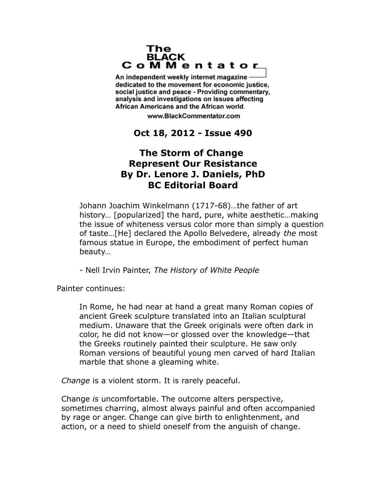## The **BLACK** CoMMentator

An independent weekly internet magazine dedicated to the movement for economic justice. social justice and peace - Providing commentary, analysis and investigations on issues affecting African Americans and the African world.

www.BlackCommentator.com

## **Oct 18, 2012 - Issue 490**

## **The Storm of Change Represent Our Resistance By Dr. Lenore J. Daniels, PhD BC Editorial Board**

Johann Joachim Winkelmann (1717-68)…the father of art history… [popularized] the hard, pure, white aesthetic…making the issue of whiteness versus color more than simply a question of taste…[He] declared the Apollo Belvedere, already *the* most famous statue in Europe, the embodiment of perfect human beauty…

- Nell Irvin Painter, *The History of White People*

Painter continues:

In Rome, he had near at hand a great many Roman copies of ancient Greek sculpture translated into an Italian sculptural medium. Unaware that the Greek originals were often dark in color, he did not know—or glossed over the knowledge—that the Greeks routinely painted their sculpture. He saw only Roman versions of beautiful young men carved of hard Italian marble that shone a gleaming white.

*Change* is a violent storm. It is rarely peaceful.

Change *is* uncomfortable. The outcome alters perspective, sometimes charring, almost always painful and often accompanied by rage or anger. Change can give birth to enlightenment, and action, or a need to shield oneself from the anguish of change.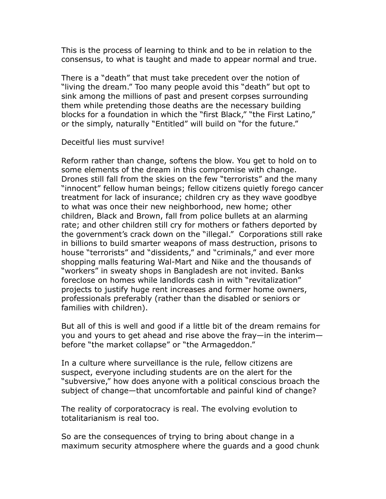This is the process of learning to think and to be in relation to the consensus, to what is taught and made to appear normal and true.

There is a "death" that must take precedent over the notion of "living the dream." Too many people avoid this "death" but opt to sink among the millions of past and present corpses surrounding them while pretending those deaths are the necessary building blocks for a foundation in which the "first Black," "the First Latino," or the simply, naturally "Entitled" will build on "for the future."

Deceitful lies must survive!

Reform rather than change, softens the blow. You get to hold on to some elements of the dream in this compromise with change. Drones still fall from the skies on the few "terrorists" and the many "innocent" fellow human beings; fellow citizens quietly forego cancer treatment for lack of insurance; children cry as they wave goodbye to what was once their new neighborhood, new home; other children, Black and Brown, fall from police bullets at an alarming rate; and other children still cry for mothers or fathers deported by the government's crack down on the "illegal." Corporations still rake in billions to build smarter weapons of mass destruction, prisons to house "terrorists" and "dissidents," and "criminals," and ever more shopping malls featuring Wal-Mart and Nike and the thousands of "workers" in sweaty shops in Bangladesh are not invited. Banks foreclose on homes while landlords cash in with "revitalization" projects to justify huge rent increases and former home owners, professionals preferably (rather than the disabled or seniors or families with children).

But all of this is well and good if a little bit of the dream remains for you and yours to get ahead and rise above the fray—in the interim before "the market collapse" or "the Armageddon."

In a culture where surveillance is the rule, fellow citizens are suspect, everyone including students are on the alert for the "subversive," how does anyone with a political conscious broach the subject of change—that uncomfortable and painful kind of change?

The reality of corporatocracy is real. The evolving evolution to totalitarianism is real too.

So are the consequences of trying to bring about change in a maximum security atmosphere where the guards and a good chunk